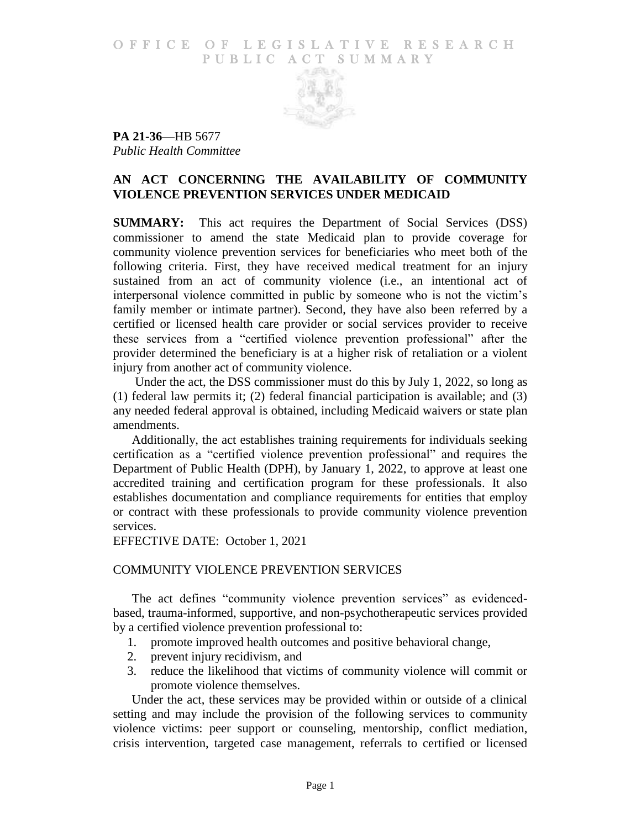# O F FICE OF LEGISLATIVE RESEARCH PUBLIC ACT SUMMARY



**PA 21-36**—HB 5677 *Public Health Committee*

# **AN ACT CONCERNING THE AVAILABILITY OF COMMUNITY VIOLENCE PREVENTION SERVICES UNDER MEDICAID**

**SUMMARY:** This act requires the Department of Social Services (DSS) commissioner to amend the state Medicaid plan to provide coverage for community violence prevention services for beneficiaries who meet both of the following criteria. First, they have received medical treatment for an injury sustained from an act of community violence (i.e., an intentional act of interpersonal violence committed in public by someone who is not the victim's family member or intimate partner). Second, they have also been referred by a certified or licensed health care provider or social services provider to receive these services from a "certified violence prevention professional" after the provider determined the beneficiary is at a higher risk of retaliation or a violent injury from another act of community violence.

Under the act, the DSS commissioner must do this by July 1, 2022, so long as (1) federal law permits it; (2) federal financial participation is available; and (3) any needed federal approval is obtained, including Medicaid waivers or state plan amendments.

Additionally, the act establishes training requirements for individuals seeking certification as a "certified violence prevention professional" and requires the Department of Public Health (DPH), by January 1, 2022, to approve at least one accredited training and certification program for these professionals. It also establishes documentation and compliance requirements for entities that employ or contract with these professionals to provide community violence prevention services.

EFFECTIVE DATE: October 1, 2021

# COMMUNITY VIOLENCE PREVENTION SERVICES

The act defines "community violence prevention services" as evidencedbased, trauma-informed, supportive, and non-psychotherapeutic services provided by a certified violence prevention professional to:

- 1. promote improved health outcomes and positive behavioral change,
- 2. prevent injury recidivism, and
- 3. reduce the likelihood that victims of community violence will commit or promote violence themselves.

Under the act, these services may be provided within or outside of a clinical setting and may include the provision of the following services to community violence victims: peer support or counseling, mentorship, conflict mediation, crisis intervention, targeted case management, referrals to certified or licensed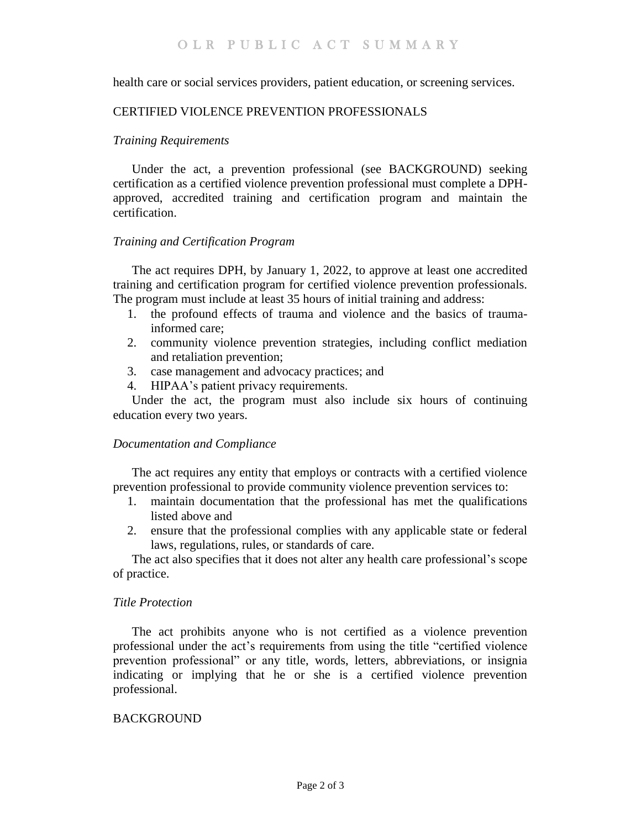health care or social services providers, patient education, or screening services.

# CERTIFIED VIOLENCE PREVENTION PROFESSIONALS

# *Training Requirements*

Under the act, a prevention professional (see BACKGROUND) seeking certification as a certified violence prevention professional must complete a DPHapproved, accredited training and certification program and maintain the certification.

## *Training and Certification Program*

The act requires DPH, by January 1, 2022, to approve at least one accredited training and certification program for certified violence prevention professionals. The program must include at least 35 hours of initial training and address:

- 1. the profound effects of trauma and violence and the basics of traumainformed care;
- 2. community violence prevention strategies, including conflict mediation and retaliation prevention;
- 3. case management and advocacy practices; and
- 4. HIPAA's patient privacy requirements.

Under the act, the program must also include six hours of continuing education every two years.

### *Documentation and Compliance*

The act requires any entity that employs or contracts with a certified violence prevention professional to provide community violence prevention services to:

- 1. maintain documentation that the professional has met the qualifications listed above and
- 2. ensure that the professional complies with any applicable state or federal laws, regulations, rules, or standards of care.

The act also specifies that it does not alter any health care professional's scope of practice.

### *Title Protection*

The act prohibits anyone who is not certified as a violence prevention professional under the act's requirements from using the title "certified violence prevention professional" or any title, words, letters, abbreviations, or insignia indicating or implying that he or she is a certified violence prevention professional.

### **BACKGROUND**